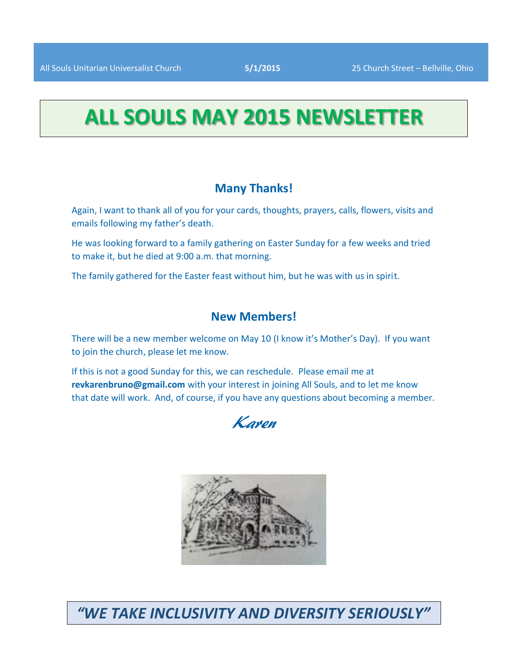# **ALL SOULS MAY 2015 NEWSLETTER**

# **Many Thanks!**

Again, I want to thank all of you for your cards, thoughts, prayers, calls, flowers, visits and emails following my father's death.

He was looking forward to a family gathering on Easter Sunday for a few weeks and tried to make it, but he died at 9:00 a.m. that morning.

The family gathered for the Easter feast without him, but he was with us in spirit.

# **New Members!**

There will be a new member welcome on May 10 (I know it's Mother's Day). If you want to join the church, please let me know.

If this is not a good Sunday for this, we can reschedule. Please email me at **revkarenbruno@gmail.com** with your interest in joining All Souls, and to let me know that date will work. And, of course, if you have any questions about becoming a member.





*"WE TAKE INCLUSIVITY AND DIVERSITY SERIOUSLY"*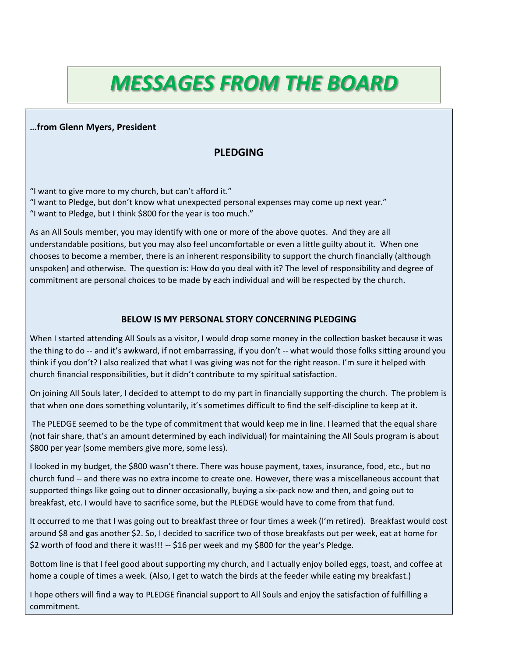# *MESSAGES FROM THE BOARD*

#### **…from Glenn Myers, President**

# **PLEDGING**

"I want to give more to my church, but can't afford it." "I want to Pledge, but don't know what unexpected personal expenses may come up next year." "I want to Pledge, but I think \$800 for the year is too much."

As an All Souls member, you may identify with one or more of the above quotes. And they are all understandable positions, but you may also feel uncomfortable or even a little guilty about it. When one chooses to become a member, there is an inherent responsibility to support the church financially (although unspoken) and otherwise. The question is: How do you deal with it? The level of responsibility and degree of commitment are personal choices to be made by each individual and will be respected by the church.

#### **BELOW IS MY PERSONAL STORY CONCERNING PLEDGING**

When I started attending All Souls as a visitor, I would drop some money in the collection basket because it was the thing to do -- and it's awkward, if not embarrassing, if you don't -- what would those folks sitting around you think if you don't? I also realized that what I was giving was not for the right reason. I'm sure it helped with church financial responsibilities, but it didn't contribute to my spiritual satisfaction.

On joining All Souls later, I decided to attempt to do my part in financially supporting the church. The problem is that when one does something voluntarily, it's sometimes difficult to find the self-discipline to keep at it.

The PLEDGE seemed to be the type of commitment that would keep me in line. I learned that the equal share (not fair share, that's an amount determined by each individual) for maintaining the All Souls program is about \$800 per year (some members give more, some less).

I looked in my budget, the \$800 wasn't there. There was house payment, taxes, insurance, food, etc., but no church fund -- and there was no extra income to create one. However, there was a miscellaneous account that supported things like going out to dinner occasionally, buying a six-pack now and then, and going out to breakfast, etc. I would have to sacrifice some, but the PLEDGE would have to come from that fund.

It occurred to me that I was going out to breakfast three or four times a week (I'm retired). Breakfast would cost around \$8 and gas another \$2. So, I decided to sacrifice two of those breakfasts out per week, eat at home for \$2 worth of food and there it was!!! -- \$16 per week and my \$800 for the year's Pledge.

Bottom line is that I feel good about supporting my church, and I actually enjoy boiled eggs, toast, and coffee at home a couple of times a week. (Also, I get to watch the birds at the feeder while eating my breakfast.)

I hope others will find a way to PLEDGE financial support to All Souls and enjoy the satisfaction of fulfilling a commitment.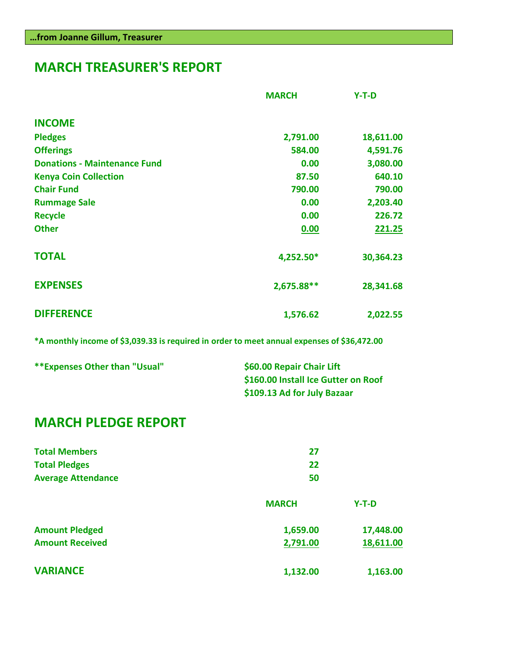# **MARCH TREASURER'S REPORT**

|                                     | <b>MARCH</b> | $Y-T-D$   |
|-------------------------------------|--------------|-----------|
| <b>INCOME</b>                       |              |           |
| <b>Pledges</b>                      | 2,791.00     | 18,611.00 |
| <b>Offerings</b>                    | 584.00       | 4,591.76  |
| <b>Donations - Maintenance Fund</b> | 0.00         | 3,080.00  |
| <b>Kenya Coin Collection</b>        | 87.50        | 640.10    |
| <b>Chair Fund</b>                   | 790.00       | 790.00    |
| <b>Rummage Sale</b>                 | 0.00         | 2,203.40  |
| <b>Recycle</b>                      | 0.00         | 226.72    |
| <b>Other</b>                        | 0.00         | 221.25    |
| <b>TOTAL</b>                        | 4,252.50*    | 30,364.23 |
| <b>EXPENSES</b>                     | 2,675.88**   | 28,341.68 |
| <b>DIFFERENCE</b>                   | 1,576.62     | 2,022.55  |

**\*A monthly income of \$3,039.33 is required in order to meet annual expenses of \$36,472.00**

| **Expenses Other than "Usual" | \$60.00 Repair Chair Lift           |
|-------------------------------|-------------------------------------|
|                               | \$160.00 Install Ice Gutter on Roof |
|                               | \$109.13 Ad for July Bazaar         |

# **MARCH PLEDGE REPORT**

| <b>Total Members</b><br><b>Total Pledges</b><br><b>Average Attendance</b> | 27<br>22<br>50       |                        |
|---------------------------------------------------------------------------|----------------------|------------------------|
|                                                                           | <b>MARCH</b>         | $Y-T-D$                |
| <b>Amount Pledged</b><br><b>Amount Received</b>                           | 1,659.00<br>2,791.00 | 17,448.00<br>18,611.00 |
| <b>VARIANCE</b>                                                           | 1,132.00             | 1,163.00               |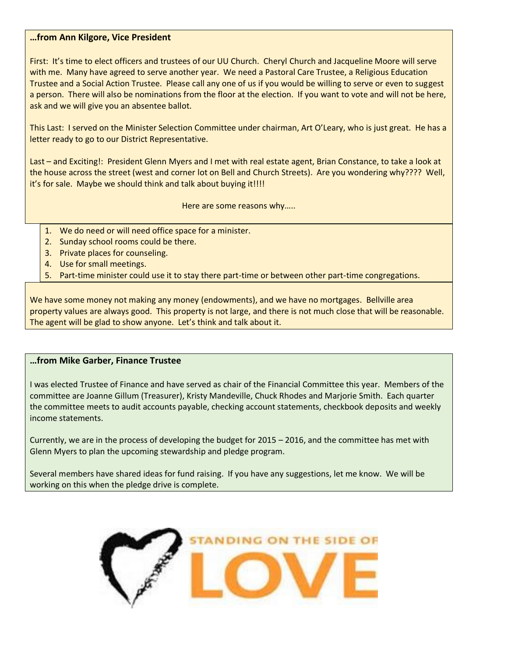#### **…from Ann Kilgore, Vice President**

First: It's time to elect officers and trustees of our UU Church. Cheryl Church and Jacqueline Moore will serve with me. Many have agreed to serve another year. We need a Pastoral Care Trustee, a Religious Education Trustee and a Social Action Trustee. Please call any one of us if you would be willing to serve or even to suggest a person. There will also be nominations from the floor at the election. If you want to vote and will not be here, ask and we will give you an absentee ballot.

This Last: I served on the Minister Selection Committee under chairman, Art O'Leary, who is just great. He has a letter ready to go to our District Representative.

Last – and Exciting!: President Glenn Myers and I met with real estate agent, Brian Constance, to take a look at the house across the street (west and corner lot on Bell and Church Streets). Are you wondering why???? Well, it's for sale. Maybe we should think and talk about buying it!!!!

Here are some reasons why…..

- 1. We do need or will need office space for a minister.
- 2. Sunday school rooms could be there.
- 3. Private places for counseling.
- 4. Use for small meetings.
- 5. Part-time minister could use it to stay there part-time or between other part-time congregations.

We have some money not making any money (endowments), and we have no mortgages. Bellville area property values are always good. This property is not large, and there is not much close that will be reasonable. The agent will be glad to show anyone. Let's think and talk about it.

#### **…from Mike Garber, Finance Trustee**

I was elected Trustee of Finance and have served as chair of the Financial Committee this year. Members of the committee are Joanne Gillum (Treasurer), Kristy Mandeville, Chuck Rhodes and Marjorie Smith. Each quarter the committee meets to audit accounts payable, checking account statements, checkbook deposits and weekly income statements.

Currently, we are in the process of developing the budget for 2015 – 2016, and the committee has met with Glenn Myers to plan the upcoming stewardship and pledge program.

Several members have shared ideas for fund raising. If you have any suggestions, let me know. We will be working on this when the pledge drive is complete.

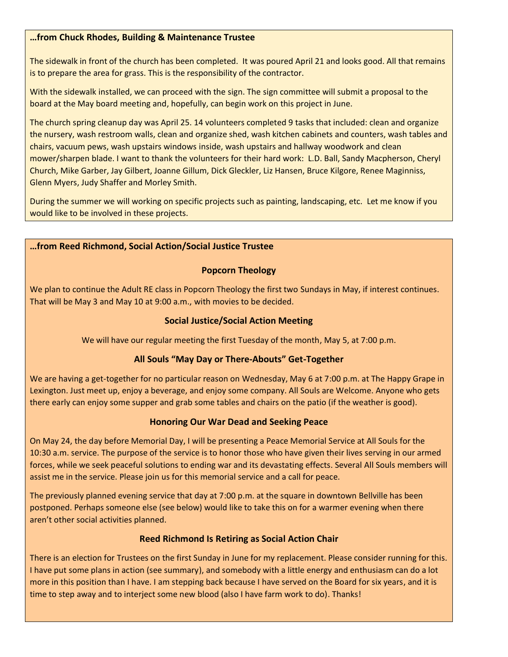#### **…from Chuck Rhodes, Building & Maintenance Trustee**

The sidewalk in front of the church has been completed. It was poured April 21 and looks good. All that remains is to prepare the area for grass. This is the responsibility of the contractor.

With the sidewalk installed, we can proceed with the sign. The sign committee will submit a proposal to the board at the May board meeting and, hopefully, can begin work on this project in June.

The church spring cleanup day was April 25. 14 volunteers completed 9 tasks that included: clean and organize the nursery, wash restroom walls, clean and organize shed, wash kitchen cabinets and counters, wash tables and chairs, vacuum pews, wash upstairs windows inside, wash upstairs and hallway woodwork and clean mower/sharpen blade. I want to thank the volunteers for their hard work: L.D. Ball, Sandy Macpherson, Cheryl Church, Mike Garber, Jay Gilbert, Joanne Gillum, Dick Gleckler, Liz Hansen, Bruce Kilgore, Renee Maginniss, Glenn Myers, Judy Shaffer and Morley Smith.

During the summer we will working on specific projects such as painting, landscaping, etc. Let me know if you would like to be involved in these projects.

#### **…from Reed Richmond, Social Action/Social Justice Trustee**

#### **Popcorn Theology**

We plan to continue the Adult RE class in Popcorn Theology the first two Sundays in May, if interest continues. That will be May 3 and May 10 at 9:00 a.m., with movies to be decided.

#### **Social Justice/Social Action Meeting**

We will have our regular meeting the first Tuesday of the month, May 5, at 7:00 p.m.

#### **All Souls "May Day or There-Abouts" Get-Together**

We are having a get-together for no particular reason on Wednesday, May 6 at 7:00 p.m. at The Happy Grape in Lexington. Just meet up, enjoy a beverage, and enjoy some company. All Souls are Welcome. Anyone who gets there early can enjoy some supper and grab some tables and chairs on the patio (if the weather is good).

#### **Honoring Our War Dead and Seeking Peace**

On May 24, the day before Memorial Day, I will be presenting a Peace Memorial Service at All Souls for the 10:30 a.m. service. The purpose of the service is to honor those who have given their lives serving in our armed forces, while we seek peaceful solutions to ending war and its devastating effects. Several All Souls members will assist me in the service. Please join us for this memorial service and a call for peace.

The previously planned evening service that day at 7:00 p.m. at the square in downtown Bellville has been postponed. Perhaps someone else (see below) would like to take this on for a warmer evening when there aren't other social activities planned.

#### **Reed Richmond Is Retiring as Social Action Chair**

There is an election for Trustees on the first Sunday in June for my replacement. Please consider running for this. I have put some plans in action (see summary), and somebody with a little energy and enthusiasm can do a lot more in this position than I have. I am stepping back because I have served on the Board for six years, and it is time to step away and to interject some new blood (also I have farm work to do). Thanks!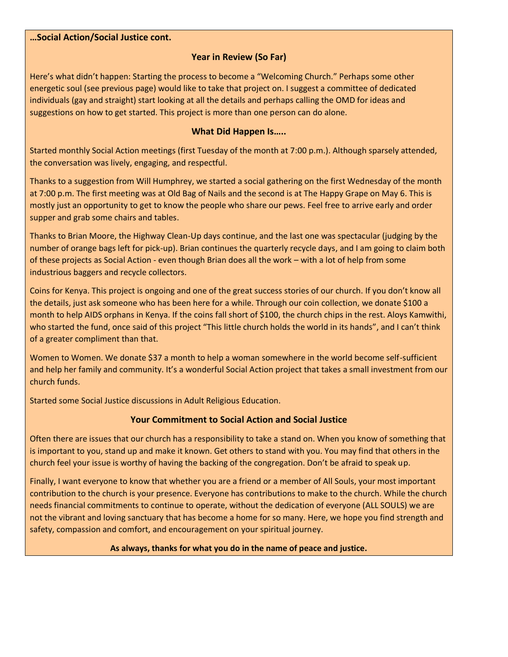#### **…Social Action/Social Justice cont.**

### **Year in Review (So Far)**

Here's what didn't happen: Starting the process to become a "Welcoming Church." Perhaps some other energetic soul (see previous page) would like to take that project on. I suggest a committee of dedicated individuals (gay and straight) start looking at all the details and perhaps calling the OMD for ideas and suggestions on how to get started. This project is more than one person can do alone.

#### **What Did Happen Is…..**

Started monthly Social Action meetings (first Tuesday of the month at 7:00 p.m.). Although sparsely attended, the conversation was lively, engaging, and respectful.

Thanks to a suggestion from Will Humphrey, we started a social gathering on the first Wednesday of the month at 7:00 p.m. The first meeting was at Old Bag of Nails and the second is at The Happy Grape on May 6. This is mostly just an opportunity to get to know the people who share our pews. Feel free to arrive early and order supper and grab some chairs and tables.

Thanks to Brian Moore, the Highway Clean-Up days continue, and the last one was spectacular (judging by the number of orange bags left for pick-up). Brian continues the quarterly recycle days, and I am going to claim both of these projects as Social Action - even though Brian does all the work – with a lot of help from some industrious baggers and recycle collectors.

Coins for Kenya. This project is ongoing and one of the great success stories of our church. If you don't know all the details, just ask someone who has been here for a while. Through our coin collection, we donate \$100 a month to help AIDS orphans in Kenya. If the coins fall short of \$100, the church chips in the rest. Aloys Kamwithi, who started the fund, once said of this project "This little church holds the world in its hands", and I can't think of a greater compliment than that.

Women to Women. We donate \$37 a month to help a woman somewhere in the world become self-sufficient and help her family and community. It's a wonderful Social Action project that takes a small investment from our church funds.

Started some Social Justice discussions in Adult Religious Education.

### **Your Commitment to Social Action and Social Justice**

Often there are issues that our church has a responsibility to take a stand on. When you know of something that is important to you, stand up and make it known. Get others to stand with you. You may find that others in the church feel your issue is worthy of having the backing of the congregation. Don't be afraid to speak up.

Finally, I want everyone to know that whether you are a friend or a member of All Souls, your most important contribution to the church is your presence. Everyone has contributions to make to the church. While the church needs financial commitments to continue to operate, without the dedication of everyone (ALL SOULS) we are not the vibrant and loving sanctuary that has become a home for so many. Here, we hope you find strength and safety, compassion and comfort, and encouragement on your spiritual journey.

#### **As always, thanks for what you do in the name of peace and justice.**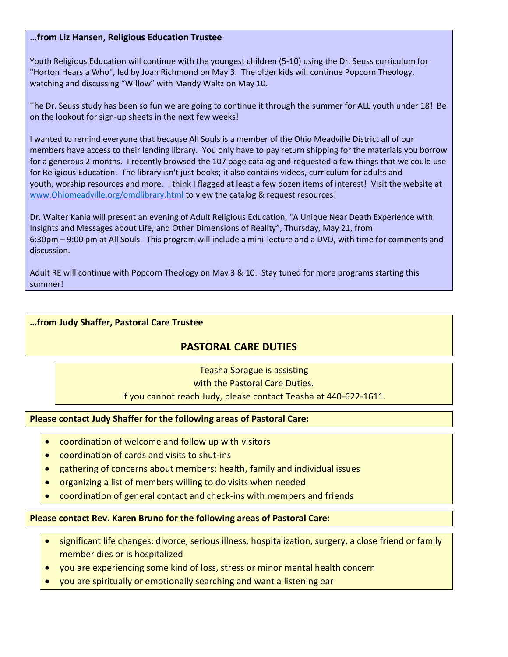#### **…from Liz Hansen, Religious Education Trustee**

Youth Religious Education will continue with the youngest children (5-10) using the Dr. Seuss curriculum for "Horton Hears a Who", led by Joan Richmond on May 3. The older kids will continue Popcorn Theology, watching and discussing "Willow" with Mandy Waltz on May 10.

The Dr. Seuss study has been so fun we are going to continue it through the summer for ALL youth under 18! Be on the lookout for sign-up sheets in the next few weeks!

I wanted to remind everyone that because All Souls is a member of the Ohio Meadville District all of our members have access to their lending library. You only have to pay return shipping for the materials you borrow for a generous 2 months. I recently browsed the 107 page catalog and requested a few things that we could use for Religious Education. The library isn't just books; it also contains videos, curriculum for adults and youth, worship resources and more. I think I flagged at least a few dozen items of interest! Visit the website at [www.Ohiomeadville.org/omdlibrary.html](http://www.ohiomeadville.org/omdlibrary.html) to view the catalog & request resources!

Dr. Walter Kania will present an evening of Adult Religious Education, "A Unique Near Death Experience with Insights and Messages about Life, and Other Dimensions of Reality", Thursday, May 21, from 6:30pm – 9:00 pm at All Souls. This program will include a mini-lecture and a DVD, with time for comments and discussion.

Adult RE will continue with Popcorn Theology on May 3 & 10. Stay tuned for more programs starting this summer!

#### **…from Judy Shaffer, Pastoral Care Trustee**

# **PASTORAL CARE DUTIES**

Teasha Sprague is assisting with the Pastoral Care Duties. If you cannot reach Judy, please contact Teasha at 440-622-1611.

#### **Please contact Judy Shaffer for the following areas of Pastoral Care:**

- coordination of welcome and follow up with visitors
- coordination of cards and visits to shut-ins
- gathering of concerns about members: health, family and individual issues
- organizing a list of members willing to do visits when needed
- coordination of general contact and check-ins with members and friends

#### **Please contact Rev. Karen Bruno for the following areas of Pastoral Care:**

- significant life changes: divorce, serious illness, hospitalization, surgery, a close friend or family member dies or is hospitalized
- you are experiencing some kind of loss, stress or minor mental health concern
- you are spiritually or emotionally searching and want a listening ear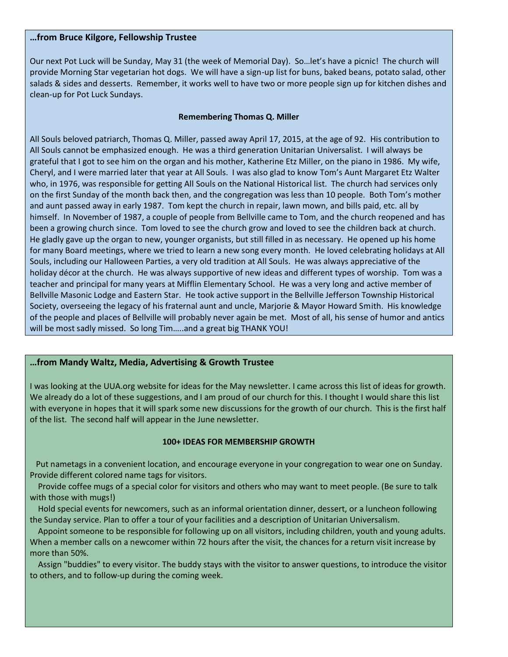#### **…from Bruce Kilgore, Fellowship Trustee**

Our next Pot Luck will be Sunday, May 31 (the week of Memorial Day). So…let's have a picnic! The church will provide Morning Star vegetarian hot dogs. We will have a sign-up list for buns, baked beans, potato salad, other salads & sides and desserts. Remember, it works well to have two or more people sign up for kitchen dishes and clean-up for Pot Luck Sundays.

#### **Remembering Thomas Q. Miller**

All Souls beloved patriarch, Thomas Q. Miller, passed away April 17, 2015, at the age of 92. His contribution to All Souls cannot be emphasized enough. He was a third generation Unitarian Universalist. I will always be grateful that I got to see him on the organ and his mother, Katherine Etz Miller, on the piano in 1986. My wife, Cheryl, and I were married later that year at All Souls. I was also glad to know Tom's Aunt Margaret Etz Walter who, in 1976, was responsible for getting All Souls on the National Historical list. The church had services only on the first Sunday of the month back then, and the congregation was less than 10 people. Both Tom's mother and aunt passed away in early 1987. Tom kept the church in repair, lawn mown, and bills paid, etc. all by himself. In November of 1987, a couple of people from Bellville came to Tom, and the church reopened and has been a growing church since. Tom loved to see the church grow and loved to see the children back at church. He gladly gave up the organ to new, younger organists, but still filled in as necessary. He opened up his home for many Board meetings, where we tried to learn a new song every month. He loved celebrating holidays at All Souls, including our Halloween Parties, a very old tradition at All Souls. He was always appreciative of the holiday décor at the church. He was always supportive of new ideas and different types of worship. Tom was a teacher and principal for many years at Mifflin Elementary School. He was a very long and active member of Bellville Masonic Lodge and Eastern Star. He took active support in the Bellville Jefferson Township Historical Society, overseeing the legacy of his fraternal aunt and uncle, Marjorie & Mayor Howard Smith. His knowledge of the people and places of Bellville will probably never again be met. Most of all, his sense of humor and antics will be most sadly missed. So long Tim…..and a great big THANK YOU!

#### **…from Mandy Waltz, Media, Advertising & Growth Trustee**

I was looking at the UUA.org website for ideas for the May newsletter. I came across this list of ideas for growth. We already do a lot of these suggestions, and I am proud of our church for this. I thought I would share this list with everyone in hopes that it will spark some new discussions for the growth of our church. This is the first half of the list. The second half will appear in the June newsletter.

#### **100+ IDEAS FOR MEMBERSHIP GROWTH**

 Put nametags in a convenient location, and encourage everyone in your congregation to wear one on Sunday. Provide different colored name tags for visitors.

 Provide coffee mugs of a special color for visitors and others who may want to meet people. (Be sure to talk with those with mugs!)

 Hold special events for [newcomers,](http://www.uua.org/growth/newcomers/index.shtml) such as an informal orientation dinner, dessert, or a luncheon following the Sunday service. Plan to offer a tour of your facilities and a description of Unitarian Universalism.

 Appoint someone to be responsible for following up on all visitors, including children, youth and young adults. When a member calls on a newcomer within 72 hours after the visit, the chances for a return visit increase by more than 50%.

 Assign "buddies" to every visitor. The buddy stays with the visitor to answer questions, to introduce the visitor to others, and to follow-up during the coming week.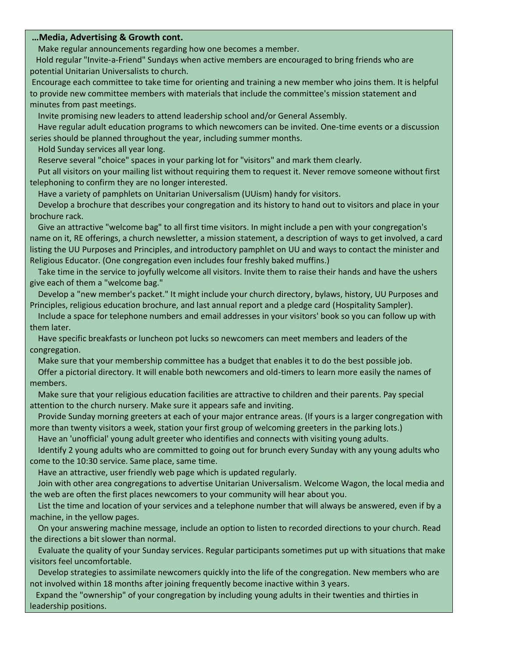#### **…Media, Advertising & Growth cont.**

Make regular announcements regarding how one becomes a member.

 Hold regular "Invite-a-Friend" Sundays when active members are encouraged to bring friends who are potential Unitarian Universalists to church.

Encourage each committee to take time for orienting and training a new member who joins them. It is helpful to provide new committee members with materials that include the committee's mission statement and minutes from past meetings.

Invite promising new leaders to attend leadership school and/or General Assembly.

 Have regular [adult education programs](http://www.uua.org/re/adults/index.shtml) to which newcomers can be invited. One-time events or a discussion series should be planned throughout the year, including summer months.

Hold Sunday services all year long.

Reserve several "choice" spaces in your parking lot for "visitors" and mark them clearly.

 Put all visitors on your mailing list without requiring them to request it. Never remove someone without first telephoning to confirm they are no longer interested.

Have a variety of [pamphlets](http://www.uua.org/publications/pamphlets/index.shtml) on Unitarian Universalism (UUism) handy for visitors.

 Develop a brochure that describes your congregation and its history to hand out to visitors and place in your brochure rack.

 Give an attractive "welcome bag" to all first time visitors. In might include a pen with your congregation's name on it, RE offerings, a church newsletter, a mission statement, a description of ways to get involved, a card listing the [UU Purposes and Principles,](http://www.uua.org/beliefs/principles/index.shtml) and introductory pamphlet on UU and ways to contact the minister and Religious Educator. (One congregation even includes four freshly baked muffins.)

 Take time in the service to joyfully welcome all visitors. Invite them to raise their hands and have the ushers give each of them a "welcome bag."

 Develop a "new member's packet." It might include your church directory, bylaws, history, UU Purposes and Principles, religious education brochure, and last annual report and a pledge card [\(Hospitality Sampler\)](http://www.uuabookstore.org/productdetails.cfm?PC=697).

 Include a space for telephone numbers and email addresses in your visitors' book so you can follow up with them later.

 Have specific breakfasts or luncheon pot lucks so newcomers can meet members and leaders of the congregation.

Make sure that your membership committee has a budget that enables it to do the best possible job.

 Offer a pictorial directory. It will enable both newcomers and old-timers to learn more easily the names of members.

 Make sure that your religious education facilities are attractive to children and their parents. Pay special attention to the church nursery. Make sure it appears safe and inviting.

 Provide Sunday morning [greeters](http://www.uua.org/growth/newcomers/20014.shtml) at each of your major entrance areas. (If yours is a larger congregation with more than twenty visitors a week, station your first group of welcoming greeters in the parking lots.)

Have an 'unofficial' young adult greeter who identifies and connects with visiting young adults.

 Identify 2 young adults who are committed to going out for brunch every Sunday with any young adults who come to the 10:30 service. Same place, same time.

Have an attractive, user friendly [web page](http://www.uua.org/communications/websites/index.shtml) which is updated regularly.

 Join with other area congregations to [advertise Unitarian Universalism.](http://www.uua.org/growth/marketing/index.shtml) Welcome Wagon, the local media and the web are often the first places newcomers to your community will hear about you.

 List the time and location of your services and a telephone number that will always be answered, even if by a machine, in the yellow pages.

 On your answering machine message, include an option to listen to recorded directions to your church. Read the directions a bit slower than normal.

 Evaluate the quality of your [Sunday services.](http://www.uua.org/worship/index.php) Regular participants sometimes put up with situations that make visitors feel uncomfortable.

 Develop strategies to assimilate newcomers quickly into the life of the congregation. New members who are not involved within 18 months after joining frequently become inactive within 3 years.

 Expand the "ownership" of your congregation by including [young adults](http://www.uua.org/re/youngadults/index.shtml) in their twenties and thirties in leadership positions.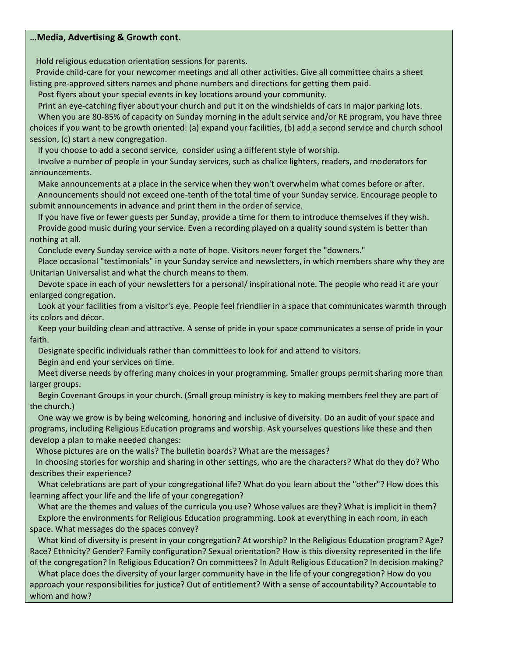#### **…Media, Advertising & Growth cont.**

Hold religious education orientation sessions for parents.

 Provide child-care for your newcomer meetings and all other activities. Give all committee chairs a sheet listing pre-approved sitters names and phone numbers and directions for getting them paid.

Post flyers about your special events in key locations around your community.

 Print an eye-catching flyer about your church and put it on the windshields of cars in major parking lots. When you are 80-85% of capacity on Sunday morning in the adult service and/or RE program, you have three choices if you want to be growth oriented: (a) expand your facilities, (b) add a second service and church school session, (c) start a new congregation.

If you choose to [add a second service,](http://www.uua.org/documents/congservices/addingworshipservices.pdf) consider using a different style of worship.

 Involve a number of people in your Sunday services, such as chalice lighters, readers, and moderators for announcements.

 Make announcements at a place in the service when they won't overwhelm what comes before or after. Announcements should not exceed one-tenth of the total time of your Sunday service. Encourage people to submit announcements in advance and print them in the order of service.

 If you have five or fewer guests per Sunday, provide a time for them to introduce themselves if they wish. Provide good [music](http://www.uua.org/worship/music/index.shtml) during your service. Even a recording played on a quality sound system is better than nothing at all.

Conclude every Sunday service with a note of hope. Visitors never forget the "downers."

 Place occasional "testimonials" in your Sunday service and newsletters, in which members share why they are Unitarian Universalist and what the church means to them.

 Devote space in each of your newsletters for a personal/ inspirational note. The people who read it are your enlarged congregation.

 Look at your facilities from a visitor's eye. People feel friendlier in a space that communicates warmth through its colors and décor.

 Keep your building clean and attractive. A sense of pride in your space communicates a sense of pride in your faith.

Designate specific individuals rather than committees to look for and attend to visitors.

Begin and end your services on time.

 Meet diverse needs by offering many choices in your programming. [Smaller groups](http://www.uua.org/growth/ideas) permit sharing more than larger groups.

 Begin Covenant Groups in your church. [\(Small group ministry](http://www.uua.org/re/adults/group/index.shtml) is key to making members feel they are part of the church.)

 One way we grow is by being welcoming, honoring and [inclusive of diversity.](http://www.uua.org/multiculturalism/index.shtml) Do an audit of your space and programs, including Religious Education programs and worship. Ask yourselves questions like these and then develop a plan to make needed changes:

Whose pictures are on the walls? The bulletin boards? What are the messages?

 In choosing stories for worship and sharing in other settings, who are the characters? What do they do? Who describes their experience?

 What celebrations are part of your congregational life? What do you learn about the "other"? How does this learning affect your life and the life of your congregation?

 What are the themes and values of the curricula you use? Whose values are they? What is implicit in them? Explore the environments for Religious Education programming. Look at everything in each room, in each space. What messages do the spaces convey?

 What kind of diversity is present in your congregation? At worship? In the Religious Education program? Age? Race? Ethnicity? Gender? Family configuration? Sexual orientation? How is this diversity represented in the life of the congregation? In Religious Education? On committees? In Adult Religious Education? In decision making?

 What place does the diversity of your larger community have in the life of your congregation? How do you approach your responsibilities for justice? Out of entitlement? With a sense of accountability? Accountable to whom and how?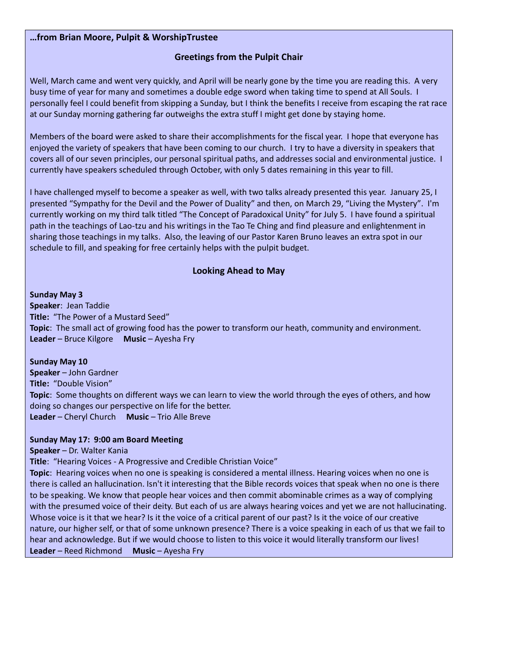#### **…from Brian Moore, Pulpit & WorshipTrustee**

### **Greetings from the Pulpit Chair**

Well, March came and went very quickly, and April will be nearly gone by the time you are reading this. A very busy time of year for many and sometimes a double edge sword when taking time to spend at All Souls. I personally feel I could benefit from skipping a Sunday, but I think the benefits I receive from escaping the rat race at our Sunday morning gathering far outweighs the extra stuff I might get done by staying home.

Members of the board were asked to share their accomplishments for the fiscal year. I hope that everyone has enjoyed the variety of speakers that have been coming to our church. I try to have a diversity in speakers that covers all of our seven principles, our personal spiritual paths, and addresses social and environmental justice. I currently have speakers scheduled through October, with only 5 dates remaining in this year to fill.

I have challenged myself to become a speaker as well, with two talks already presented this year. January 25, I presented "Sympathy for the Devil and the Power of Duality" and then, on March 29, "Living the Mystery". I'm currently working on my third talk titled "The Concept of Paradoxical Unity" for July 5. I have found a spiritual path in the teachings of Lao-tzu and his writings in the Tao Te Ching and find pleasure and enlightenment in sharing those teachings in my talks. Also, the leaving of our Pastor Karen Bruno leaves an extra spot in our schedule to fill, and speaking for free certainly helps with the pulpit budget.

#### **Looking Ahead to May**

#### **Sunday May 3**

**Speaker**: Jean Taddie **Title:** "The Power of a Mustard Seed" **Topic**: The small act of growing food has the power to transform our heath, community and environment. **Leader** – Bruce Kilgore **Music** – Ayesha Fry

#### **Sunday May 10**

**Speaker** – John Gardner **Title:** "Double Vision" **Topic**: Some thoughts on different ways we can learn to view the world through the eyes of others, and how doing so changes our perspective on life for the better. **Leader** – Cheryl Church **Music** – Trio Alle Breve

#### **Sunday May 17: 9:00 am Board Meeting**

**Speaker** – Dr. Walter Kania

**Title**: "Hearing Voices - A Progressive and Credible Christian Voice"

**Topic**: Hearing voices when no one is speaking is considered a mental illness. Hearing voices when no one is there is called an hallucination. Isn't it interesting that the Bible records voices that speak when no one is there to be speaking. We know that people hear voices and then commit abominable crimes as a way of complying with the presumed voice of their deity. But each of us are always hearing voices and yet we are not hallucinating. Whose voice is it that we hear? Is it the voice of a critical parent of our past? Is it the voice of our creative nature, our higher self, or that of some unknown presence? There is a voice speaking in each of us that we fail to hear and acknowledge. But if we would choose to listen to this voice it would literally transform our lives! **Leader** – Reed Richmond **Music** – Ayesha Fry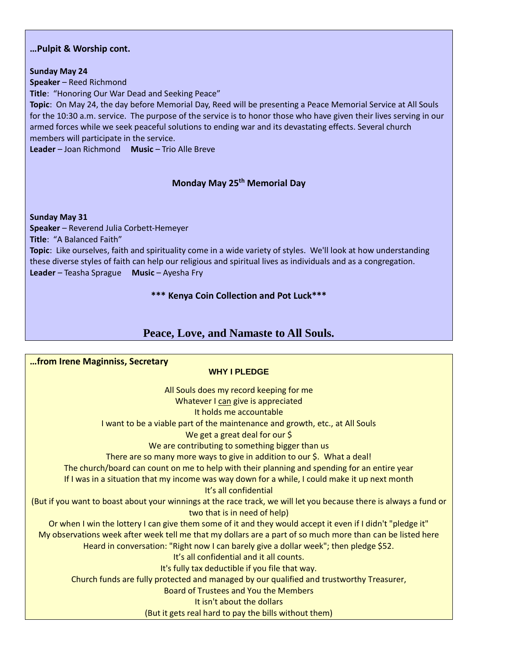#### **…Pulpit & Worship cont.**

#### **Sunday May 24**

**Speaker** – Reed Richmond

**Title**: "Honoring Our War Dead and Seeking Peace"

**Topic**: On May 24, the day before Memorial Day, Reed will be presenting a Peace Memorial Service at All Souls for the 10:30 a.m. service. The purpose of the service is to honor those who have given their lives serving in our armed forces while we seek peaceful solutions to ending war and its devastating effects. Several church members will participate in the service.

**Leader** – Joan Richmond **Music** – Trio Alle Breve

# **Monday May 25th Memorial Day**

#### **Sunday May 31**

**Speaker** – Reverend Julia Corbett-Hemeyer **Title**: "A Balanced Faith"

**Topic**: Like ourselves, faith and spirituality come in a wide variety of styles. We'll look at how understanding these diverse styles of faith can help our religious and spiritual lives as individuals and as a congregation. **Leader** – Teasha Sprague **Music** – Ayesha Fry

#### **\*\*\* Kenya Coin Collection and Pot Luck\*\*\***

# **Peace, Love, and Namaste to All Souls.**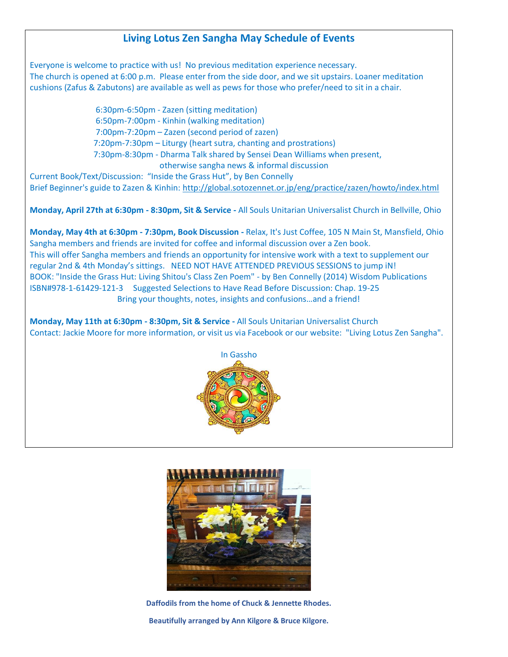# **Living Lotus Zen Sangha May Schedule of Events**

Everyone is welcome to practice with us! No previous meditation experience necessary. The church is opened at 6:00 p.m. Please enter from the side door, and we sit upstairs. Loaner meditation cushions (Zafus & Zabutons) are available as well as pews for those who prefer/need to sit in a chair.

> 6:30pm-6:50pm - Zazen (sitting meditation) 6:50pm-7:00pm - Kinhin (walking meditation) 7:00pm-7:20pm – Zazen (second period of zazen) 7:20pm-7:30pm – Liturgy (heart sutra, chanting and prostrations) 7:30pm-8:30pm - Dharma Talk shared by Sensei Dean Williams when present, otherwise sangha news & informal discussion

Current Book/Text/Discussion: "Inside the Grass Hut", by Ben Connelly Brief Beginner's guide to Zazen & Kinhin: http://global.sotozennet.or.jp/eng/practice/zazen/howto/index.html

**Monday, April 27th at 6:30pm - 8:30pm, Sit & Service -** All Souls Unitarian Universalist Church in Bellville, Ohio

**Monday, May 4th at 6:30pm - 7:30pm, Book Discussion -** Relax, It's Just Coffee, 105 N Main St, Mansfield, Ohio Sangha members and friends are invited for coffee and informal discussion over a Zen book. This will offer Sangha members and friends an opportunity for intensive work with a text to supplement our regular 2nd & 4th Monday's sittings. NEED NOT HAVE ATTENDED PREVIOUS SESSIONS to jump iN! BOOK: "Inside the Grass Hut: Living Shitou's Class Zen Poem" - by Ben Connelly (2014) Wisdom Publications ISBN#978-1-61429-121-3 Suggested Selections to Have Read Before Discussion: Chap. 19-25 Bring your thoughts, notes, insights and confusions…and a friend!

**Monday, May 11th at 6:30pm - 8:30pm, Sit & Service -** All Souls Unitarian Universalist Church Contact: Jackie Moore for more information, or visit us via Facebook or our website: "Living Lotus Zen Sangha".





**Daffodils from the home of Chuck & Jennette Rhodes. Beautifully arranged by Ann Kilgore & Bruce Kilgore.**